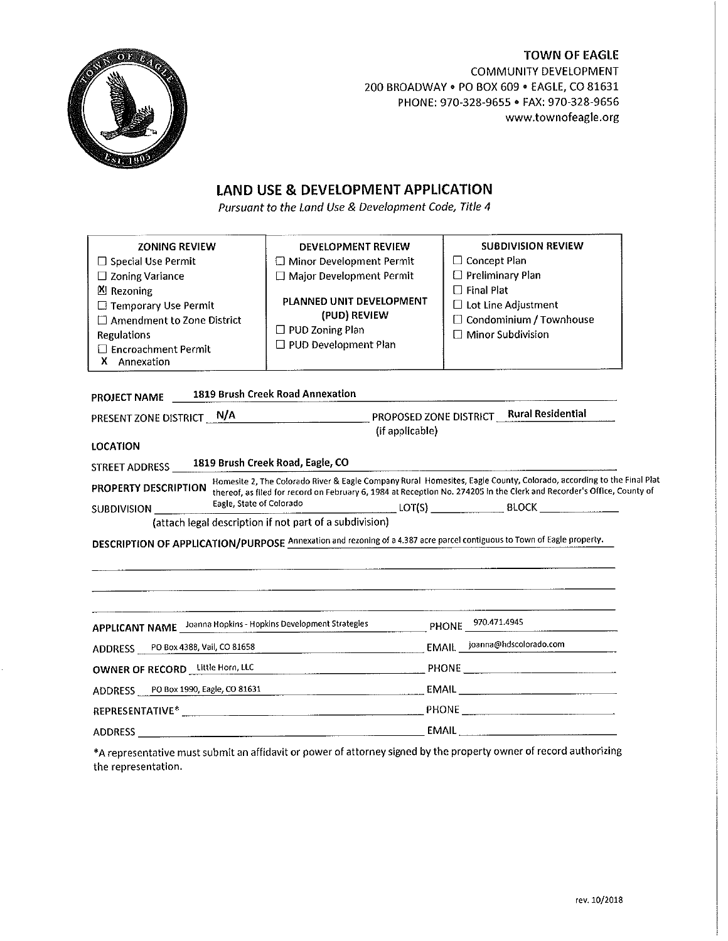

# **TOWN OF EAGLE** COMMUNITY DEVELOPMENT 200 BROADWAY . PO BOX 609 . EAGLE, CO 81631 PHONE: 970-328-9655 . FAX: 970-328-9656 www.townofeagle.org

# LAND USE & DEVELOPMENT APPLICATION

Pursuant to the Land Use & Development Code, Title 4

| <b>ZONING REVIEW</b><br>$\Box$ Special Use Permit<br>$\Box$ Zoning Variance<br><b>凶 Rezoning</b><br>□ Temporary Use Permit<br>$\Box$ Amendment to Zone District<br><b>Regulations</b><br>$\Box$ Encroachment Permit<br>X Annexation |                                                                                                                                                                                                                                                                           | DEVELOPMENT REVIEW<br>Minor Development Permit<br>$\Box$ Major Development Permit<br>PLANNED UNIT DEVELOPMENT<br>(PUD) REVIEW<br>$\Box$ PUD Zoning Plan<br>□ PUD Development Plan | <b>SUBDIVISION REVIEW</b><br>$\Box$ Concept Plan<br>$\Box$ Preliminary Plan<br>$\Box$ Final Plat<br>□ Lot Line Adjustment<br>$\Box$ Condominium / Townhouse<br>$\Box$ Minor Subdivision |  |  |
|-------------------------------------------------------------------------------------------------------------------------------------------------------------------------------------------------------------------------------------|---------------------------------------------------------------------------------------------------------------------------------------------------------------------------------------------------------------------------------------------------------------------------|-----------------------------------------------------------------------------------------------------------------------------------------------------------------------------------|-----------------------------------------------------------------------------------------------------------------------------------------------------------------------------------------|--|--|
| <b>PROJECT NAME</b>                                                                                                                                                                                                                 |                                                                                                                                                                                                                                                                           | 1819 Brush Creek Road Annexation                                                                                                                                                  |                                                                                                                                                                                         |  |  |
| PRESENT ZONE DISTRICT N/A                                                                                                                                                                                                           | PROPOSED ZONE DISTRICT Rural Residential<br><u> 1980 - Johann Harry Barn, mars a</u>                                                                                                                                                                                      |                                                                                                                                                                                   |                                                                                                                                                                                         |  |  |
| <b>LOCATION</b>                                                                                                                                                                                                                     |                                                                                                                                                                                                                                                                           | (if applicable)                                                                                                                                                                   |                                                                                                                                                                                         |  |  |
| STREET ADDRESS                                                                                                                                                                                                                      |                                                                                                                                                                                                                                                                           | 1819 Brush Creek Road, Eagle, CO                                                                                                                                                  |                                                                                                                                                                                         |  |  |
| PROPERTY DESCRIPTION                                                                                                                                                                                                                | Homesite 2, The Colorado River & Eagle Company Rural Homesites, Eagle County, Colorado, according to the Final Plat<br>thereof, as filed for record on February 6, 1984 at Reception No. 274205 in the Clerk and Recorder's Office, County of<br>Eagle, State of Colorado |                                                                                                                                                                                   |                                                                                                                                                                                         |  |  |
| SUBDIVISION ____                                                                                                                                                                                                                    |                                                                                                                                                                                                                                                                           | (attach legal description if not part of a subdivision)                                                                                                                           |                                                                                                                                                                                         |  |  |
|                                                                                                                                                                                                                                     |                                                                                                                                                                                                                                                                           | DESCRIPTION OF APPLICATION/PURPOSE Annexation and rezoning of a 4.387 acre parcel contiguous to Town of Eagle property.                                                           |                                                                                                                                                                                         |  |  |
|                                                                                                                                                                                                                                     |                                                                                                                                                                                                                                                                           |                                                                                                                                                                                   |                                                                                                                                                                                         |  |  |
| APPLICANT NAME __ Joanna Hopkins - Hopkins Development Strategies                                                                                                                                                                   |                                                                                                                                                                                                                                                                           |                                                                                                                                                                                   | PHONE 970.471.4945                                                                                                                                                                      |  |  |
| ADDRESS PO Box 4388, Vail, CO 81658                                                                                                                                                                                                 |                                                                                                                                                                                                                                                                           |                                                                                                                                                                                   |                                                                                                                                                                                         |  |  |
| OWNER OF RECORD Little Horn, LLC                                                                                                                                                                                                    |                                                                                                                                                                                                                                                                           |                                                                                                                                                                                   |                                                                                                                                                                                         |  |  |
|                                                                                                                                                                                                                                     |                                                                                                                                                                                                                                                                           |                                                                                                                                                                                   |                                                                                                                                                                                         |  |  |
| ADDRESS PO Box 1990, Eagle, CO 81631                                                                                                                                                                                                |                                                                                                                                                                                                                                                                           |                                                                                                                                                                                   |                                                                                                                                                                                         |  |  |

\*A representative must submit an affidavit or power of attorney signed by the property owner of record authorizing the representation.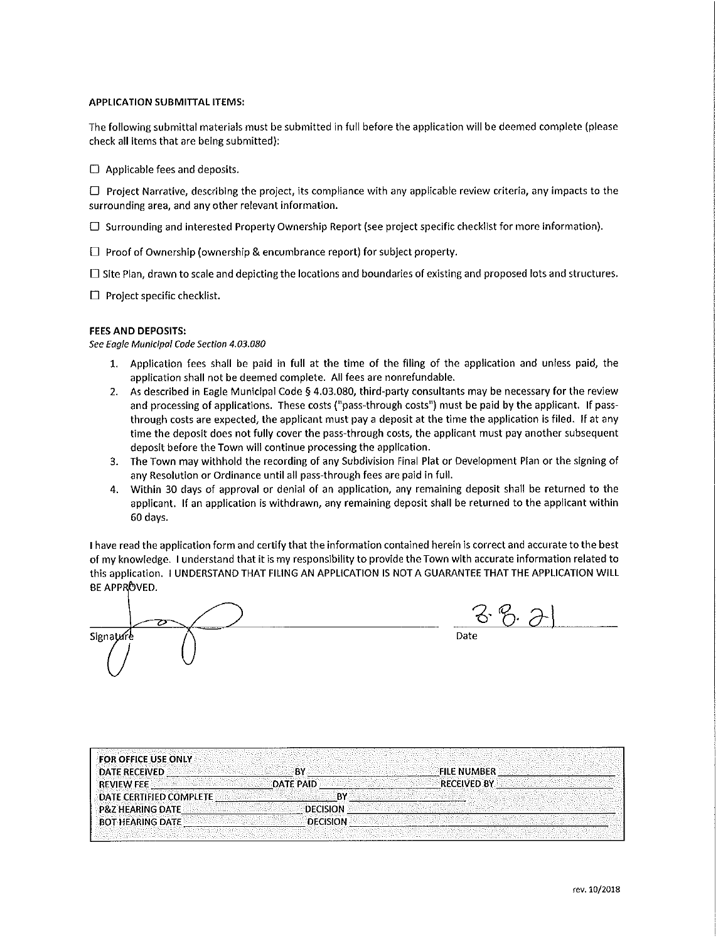#### **APPLICATION SUBMITTAL ITEMS:**

The following submittal materials must be submitted in full before the application will be deemed complete (please check all items that are being submitted):

 $\Box$  Applicable fees and deposits.

 $\Box$  Project Narrative, describing the project, its compliance with any applicable review criteria, any impacts to the surrounding area, and any other relevant information.

 $\Box$  Surrounding and interested Property Ownership Report (see project specific checklist for more information).

 $\Box$  Proof of Ownership (ownership & encumbrance report) for subject property.

 $\Box$  Site Plan, drawn to scale and depicting the locations and boundaries of existing and proposed lots and structures.

 $\Box$  Project specific checklist.

#### **FEES AND DEPOSITS:**

See Eagle Municipal Code Section 4.03.080

- 1. Application fees shall be paid in full at the time of the filing of the application and unless paid, the application shall not be deemed complete. All fees are nonrefundable.
- 2. As described in Eagle Municipal Code § 4.03.080, third-party consultants may be necessary for the review and processing of applications. These costs ("pass-through costs") must be paid by the applicant. If passthrough costs are expected, the applicant must pay a deposit at the time the application is filed. If at any time the deposit does not fully cover the pass-through costs, the applicant must pay another subsequent deposit before the Town will continue processing the application.
- 3. The Town may withhold the recording of any Subdivision Final Plat or Development Plan or the signing of any Resolution or Ordinance until all pass-through fees are paid in full.
- Within 30 days of approval or denial of an application, any remaining deposit shall be returned to the 4. applicant. If an application is withdrawn, any remaining deposit shall be returned to the applicant within 60 days.

I have read the application form and certify that the information contained herein is correct and accurate to the best of my knowledge. I understand that it is my responsibility to provide the Town with accurate information related to this application. I UNDERSTAND THAT FILING AN APPLICATION IS NOT A GUARANTEE THAT THE APPLICATION WILL BE APPROVED.

<u> 76. I</u> Signature

| <b>FOR OFFICE USE ONLY</b>     |                  |                    |  |
|--------------------------------|------------------|--------------------|--|
| <b>DATE RECEIVED</b>           | RΥ               | <b>FILE NUMBER</b> |  |
| <b>REVIEW FEE</b>              | <b>DATE PAID</b> | <b>RECEIVED BY</b> |  |
| <b>DATE CERTIFIED COMPLETE</b> | BY               |                    |  |
| <b>P&amp;Z HEARING DATE</b>    | <b>DECISION</b>  |                    |  |
| <b>BOT HEARING DATE:</b>       | <b>DECISION</b>  |                    |  |
|                                |                  |                    |  |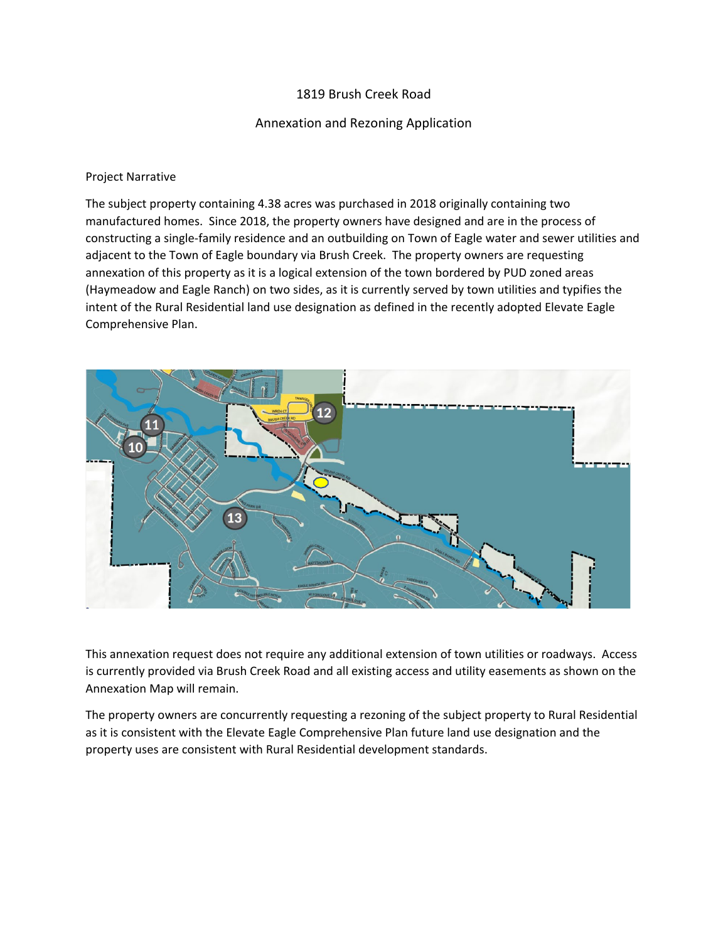# 1819 Brush Creek Road

## Annexation and Rezoning Application

## Project Narrative

The subject property containing 4.38 acres was purchased in 2018 originally containing two manufactured homes. Since 2018, the property owners have designed and are in the process of constructing a single-family residence and an outbuilding on Town of Eagle water and sewer utilities and adjacent to the Town of Eagle boundary via Brush Creek. The property owners are requesting annexation of this property as it is a logical extension of the town bordered by PUD zoned areas (Haymeadow and Eagle Ranch) on two sides, as it is currently served by town utilities and typifies the intent of the Rural Residential land use designation as defined in the recently adopted Elevate Eagle Comprehensive Plan.



This annexation request does not require any additional extension of town utilities or roadways. Access is currently provided via Brush Creek Road and all existing access and utility easements as shown on the Annexation Map will remain.

The property owners are concurrently requesting a rezoning of the subject property to Rural Residential as it is consistent with the Elevate Eagle Comprehensive Plan future land use designation and the property uses are consistent with Rural Residential development standards.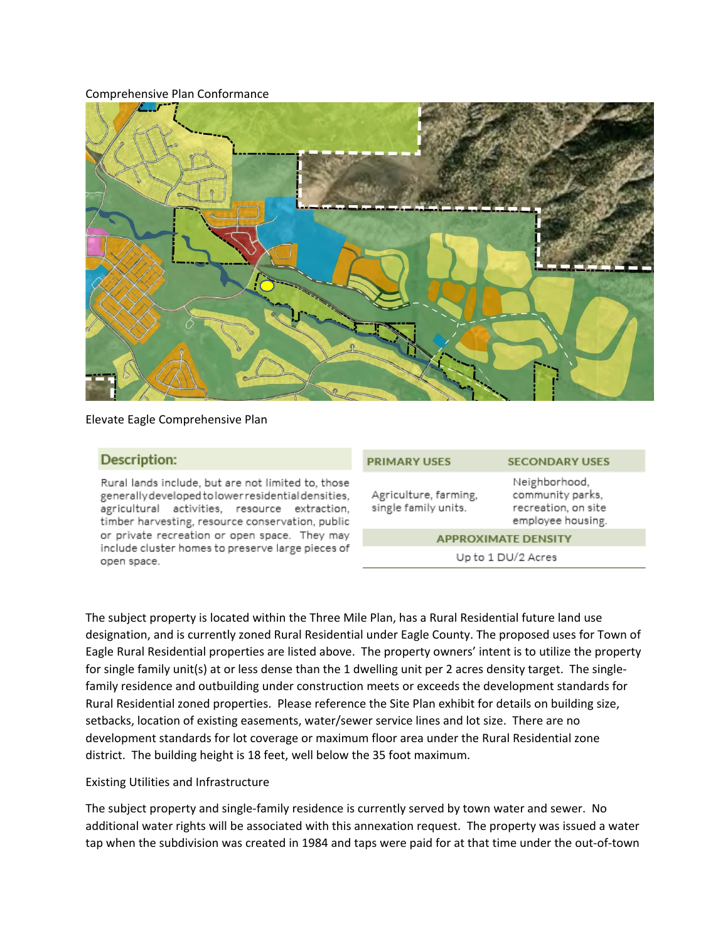### Comprehensive Plan Conformance



### Elevate Eagle Comprehensive Plan

### **Description:**

Rural lands include, but are not limited to, those generally developed to lower residential densities. agricultural activities, resource extraction, timber harvesting, resource conservation, public or private recreation or open space. They may include cluster homes to preserve large pieces of open space.

|                       | Neig |
|-----------------------|------|
| Agriculture, farming, | com  |
| single family units.  | recr |
|                       | emp  |

**PRIMARY LISES** 

## **SECONDARY USES**

ghborhood, ımunity parks, eation, on site loyee housing.

#### **APPROXIMATE DENSITY**

Up to 1 DU/2 Acres

The subject property is located within the Three Mile Plan, has a Rural Residential future land use designation, and is currently zoned Rural Residential under Eagle County. The proposed uses for Town of Eagle Rural Residential properties are listed above. The property owners' intent is to utilize the property for single family unit(s) at or less dense than the 1 dwelling unit per 2 acres density target. The singlefamily residence and outbuilding under construction meets or exceeds the development standards for Rural Residential zoned properties. Please reference the Site Plan exhibit for details on building size, setbacks, location of existing easements, water/sewer service lines and lot size. There are no development standards for lot coverage or maximum floor area under the Rural Residential zone district. The building height is 18 feet, well below the 35 foot maximum.

## Existing Utilities and Infrastructure

The subject property and single-family residence is currently served by town water and sewer. No additional water rights will be associated with this annexation request. The property was issued a water tap when the subdivision was created in 1984 and taps were paid for at that time under the out-of-town